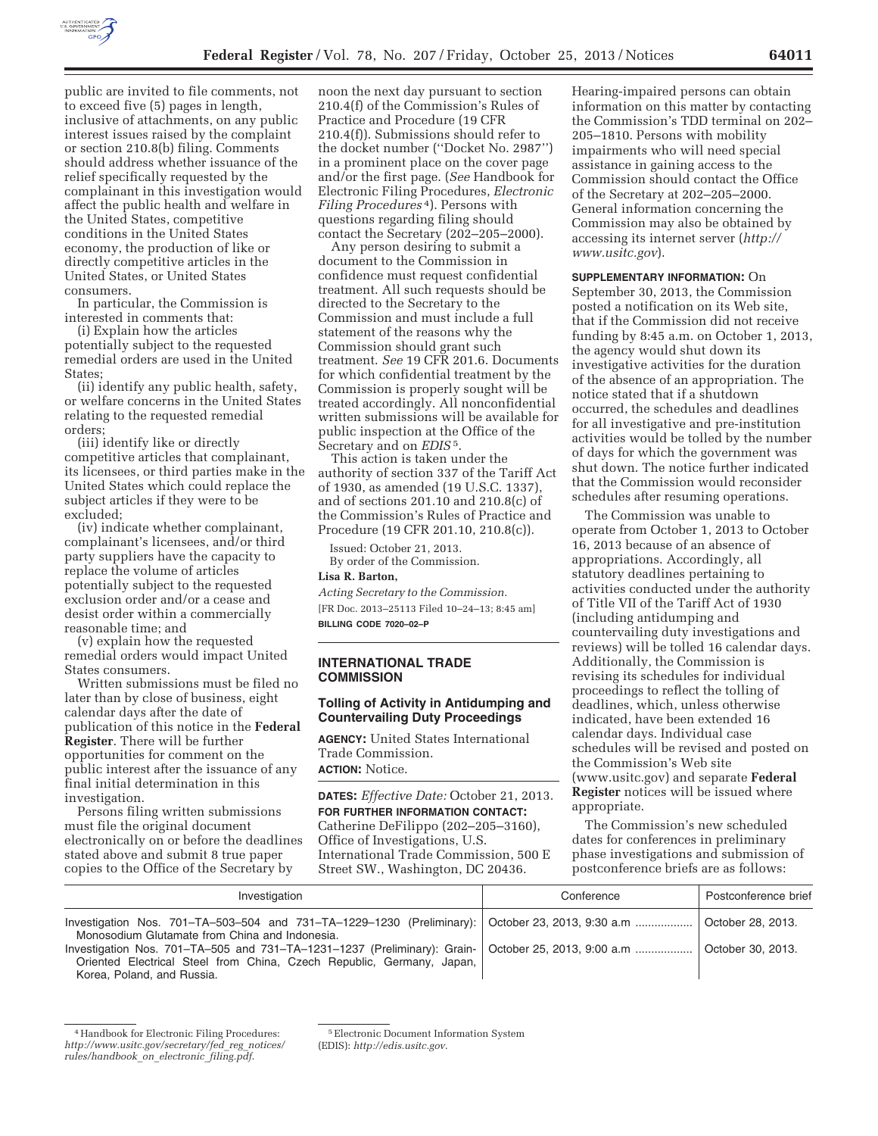

public are invited to file comments, not to exceed five (5) pages in length, inclusive of attachments, on any public interest issues raised by the complaint or section 210.8(b) filing. Comments should address whether issuance of the relief specifically requested by the complainant in this investigation would affect the public health and welfare in the United States, competitive conditions in the United States economy, the production of like or directly competitive articles in the United States, or United States consumers.

In particular, the Commission is interested in comments that:

(i) Explain how the articles potentially subject to the requested remedial orders are used in the United States;

(ii) identify any public health, safety, or welfare concerns in the United States relating to the requested remedial orders;

(iii) identify like or directly competitive articles that complainant, its licensees, or third parties make in the United States which could replace the subject articles if they were to be excluded;

(iv) indicate whether complainant, complainant's licensees, and/or third party suppliers have the capacity to replace the volume of articles potentially subject to the requested exclusion order and/or a cease and desist order within a commercially reasonable time; and

(v) explain how the requested remedial orders would impact United States consumers.

Written submissions must be filed no later than by close of business, eight calendar days after the date of publication of this notice in the **Federal Register**. There will be further opportunities for comment on the public interest after the issuance of any final initial determination in this investigation.

Persons filing written submissions must file the original document electronically on or before the deadlines stated above and submit 8 true paper copies to the Office of the Secretary by

noon the next day pursuant to section 210.4(f) of the Commission's Rules of Practice and Procedure (19 CFR 210.4(f)). Submissions should refer to the docket number (''Docket No. 2987'') in a prominent place on the cover page and/or the first page. (*See* Handbook for Electronic Filing Procedures, *Electronic Filing Procedures* 4). Persons with questions regarding filing should contact the Secretary (202–205–2000).

Any person desiring to submit a document to the Commission in confidence must request confidential treatment. All such requests should be directed to the Secretary to the Commission and must include a full statement of the reasons why the Commission should grant such treatment. *See* 19 CFR 201.6. Documents for which confidential treatment by the Commission is properly sought will be treated accordingly. All nonconfidential written submissions will be available for public inspection at the Office of the Secretary and on *EDIS* 5.

This action is taken under the authority of section 337 of the Tariff Act of 1930, as amended (19 U.S.C. 1337), and of sections 201.10 and 210.8(c) of the Commission's Rules of Practice and Procedure (19 CFR 201.10, 210.8(c)).

Issued: October 21, 2013. By order of the Commission.

### **Lisa R. Barton,**

*Acting Secretary to the Commission.*  [FR Doc. 2013–25113 Filed 10–24–13; 8:45 am] **BILLING CODE 7020–02–P** 

### **INTERNATIONAL TRADE COMMISSION**

#### **Tolling of Activity in Antidumping and Countervailing Duty Proceedings**

**AGENCY:** United States International Trade Commission.

**ACTION:** Notice.

**DATES:** *Effective Date:* October 21, 2013. **FOR FURTHER INFORMATION CONTACT:**  Catherine DeFilippo (202–205–3160), Office of Investigations, U.S. International Trade Commission, 500 E Street SW., Washington, DC 20436.

Hearing-impaired persons can obtain information on this matter by contacting the Commission's TDD terminal on 202– 205–1810. Persons with mobility impairments who will need special assistance in gaining access to the Commission should contact the Office of the Secretary at 202–205–2000. General information concerning the Commission may also be obtained by accessing its internet server (*http:// www.usitc.gov*).

**SUPPLEMENTARY INFORMATION:** On September 30, 2013, the Commission posted a notification on its Web site, that if the Commission did not receive funding by 8:45 a.m. on October 1, 2013, the agency would shut down its investigative activities for the duration of the absence of an appropriation. The notice stated that if a shutdown occurred, the schedules and deadlines for all investigative and pre-institution activities would be tolled by the number of days for which the government was shut down. The notice further indicated that the Commission would reconsider schedules after resuming operations.

The Commission was unable to operate from October 1, 2013 to October 16, 2013 because of an absence of appropriations. Accordingly, all statutory deadlines pertaining to activities conducted under the authority of Title VII of the Tariff Act of 1930 (including antidumping and countervailing duty investigations and reviews) will be tolled 16 calendar days. Additionally, the Commission is revising its schedules for individual proceedings to reflect the tolling of deadlines, which, unless otherwise indicated, have been extended 16 calendar days. Individual case schedules will be revised and posted on the Commission's Web site (www.usitc.gov) and separate **Federal Register** notices will be issued where appropriate.

The Commission's new scheduled dates for conferences in preliminary phase investigations and submission of postconference briefs are as follows:

| Investigation                                                                                                                                                                                                | Conference | Postconference brief |
|--------------------------------------------------------------------------------------------------------------------------------------------------------------------------------------------------------------|------------|----------------------|
| Investigation Nos. 701–TA–503–504 and 731–TA–1229–1230 (Preliminary): October 23, 2013, 9:30 a.m<br>Monosodium Glutamate from China and Indonesia.                                                           |            | October 28, 2013.    |
| Investigation Nos. 701–TA–505 and 731–TA–1231–1237 (Preliminary): Grain-   October 25, 2013, 9:00 a.m<br>Oriented Electrical Steel from China, Czech Republic, Germany, Japan,<br>Korea, Poland, and Russia. |            | October 30, 2013.    |

<sup>4</sup>Handbook for Electronic Filing Procedures: *http://www.usitc.gov/secretary/fed*\_*reg*\_*notices/ rules/handbook*\_*on*\_*electronic*\_*filing.pdf*.

<sup>5</sup>Electronic Document Information System

<sup>(</sup>EDIS): *http://edis.usitc.gov*.